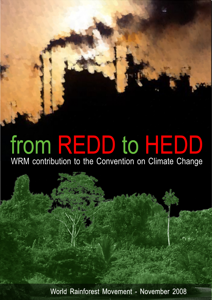# from REDD to HEDD

WRM contribution to the Convention on Climate Change

World Rainforest Movement - November 2008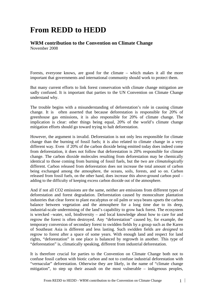## **From REDD to HEDD**

### **WRM contribution to the Convention on Climate Change**

November 2008

Forests, everyone knows, are good for the climate – which makes it all the more important that governments and international community should work to protect them.

But many current efforts to link forest conservation with climate change mitigation are sadly confused. It is important that parties to the UN Convention on Climate Change understand why.

The trouble begins with a misunderstanding of deforestation's role in causing climate change. It is often asserted that because deforestation is responsible for 20% of greenhouse gas emissions, it is also responsible for 20% of climate change. The implication is clear: other things being equal, 20% of the world's climate change mitigation efforts should go toward trying to halt deforestation.

However, the argument is invalid. Deforestation is not only less responsible for climate change than the burning of fossil fuels; it is also related to climate change in a very different way. Even if 20% of the carbon dioxide being emitted today does indeed come from deforestation, it does not follow that deforestation is 20% responsible for climate change. The carbon dioxide molecules resulting from deforestation may be chemically identical to those coming from burning of fossil fuels, but the two are *climatologically* different. Carbon released from deforestation does not increase the total amount of carbon being exchanged among the atmosphere, the oceans, soils, forests, and so on. Carbon released from fossil fuels, on the other hand, does increase this above-ground carbon pool – adding to the difficulty of keeping excess carbon dioxide out of the atmosphere.

And if not all CO2 emissions are the same, neither are emissions from different types of deforestation and forest degradation. Deforestation caused by monoculture plantation industries that clear forest to plant eucalyptus or oil palm or soya beans upsets the carbon balance between vegetation and the atmosphere for a long time due to its deep, industrial-scale undermining of the land's capability to grow back forest. The ecosystem is wrecked –water, soil, biodiversity – and local knowledge about how to care for and regrow the forest is often destroyed. Any "deforestation" caused by, for example, the temporary conversion of secondary forest to swidden fields by a group such as the Karen of Southeast Asia is different and less lasting. Such swidden fields are *designed* to regrow to forest after a space of some years. With enough land and respect for land rights, "deforestation" in one place is balanced by regrowth in another. This type of "deforestation" is, climatically speaking, different from industrial deforestation.

It is therefore crucial for parties to the Convention on Climate Change both not to confuse fossil carbon with biotic carbon and not to confuse industrial deforestation with "vernacular" deforestation. Otherwise they are likely, in the name of "climate change mitigation", to step up their assault on the most vulnerable – indigenous peoples,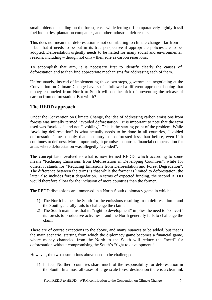smallholders depending on the forest, etc. –while letting off comparatively lightly fossil fuel industries, plantation companies, and other industrial deforesters.

This does not mean that deforestation is not contributing to climate change - far from it – but that it needs to be put in its true perspective if appropriate policies are to be adopted. Deforestation urgently needs to be halted for many social and environmental reasons, including – though not only– their role as carbon reservoirs.

To accomplish that aim, it is necessary first to identify clearly the causes of deforestation and to then find appropriate mechanisms for addressing each of them.

Unfortunately, instead of implementing those two steps, governments negotiating at the Convention on Climate Change have so far followed a different approach, hoping that money channeled from North to South will do the trick of preventing the release of carbon from deforestation. But will it?

#### **The REDD approach**

Under the Convention on Climate Change, the idea of addressing carbon emissions from forests was initially termed "avoided deforestation". It is important to note that the term used was "avoided", and not "avoiding". This is the starting point of the problem. While "avoiding deforestation" is what actually needs to be done in all countries, "avoided deforestation" means only that a country has deforested less than before, even if it continues to deforest. More importantly, it promises countries financial compensation for areas where deforestation was allegedly "avoided".

The concept later evolved to what is now termed REDD, which according to some means "Reducing Emissions from Deforestation in Developing Countries", while for others, it stands for "Reducing Emissions from Deforestation and Forest Degradation". The difference between the terms is that while the former is limited to deforestation, the latter also includes forest degradation. In terms of expected funding, the second REDD would therefore allow for the inclusion of more countries than the former.

The REDD discussions are immersed in a North-South diplomacy game in which:

- 1) The North blames the South for the emissions resulting from deforestation and the South generally fails to challenge the claim.
- 2) The South maintains that its "right to development" implies the need to "convert" its forests to productive activities – and the North generally fails to challenge the claim.

There are of course exceptions to the above, and many nuances to be added, but that is the main scenario, starting from which the diplomacy game becomes a financial game, where money channeled from the North to the South will reduce the "need" for deforestation without compromising the South's "right to development."

However, the two assumptions above need to be challenged:

1) In fact, Northern countries share much of the responsibility for deforestation in the South. In almost all cases of large-scale forest destruction there is a clear link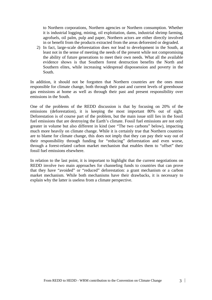to Northern corporations, Northern agencies or Northern consumption. Whether it is industrial logging, mining, oil exploitation, dams, industrial shrimp farming, agrofuels, oil palm, pulp and paper, Northern actors are either directly involved in or benefit from the products extracted from the areas deforested or degraded.

2) In fact, large-scale deforestation does *not* lead to development in the South, at least not in the sense of meeting the needs of the present while not compromising the ability of future generations to meet their own needs. What all the available evidence shows is that Southern forest destruction benefits the North and Southern elites, while increasing widespread dispossession and poverty in the South.

In addition, it should not be forgotten that Northern countries are the ones most responsible for climate change, both through their past and current levels of greenhouse gas emissions at home as well as through their past and present responsibility over emissions in the South.

One of the problems of the REDD discussion is that by focusing on 20% of the emissions (deforestation), it is keeping the most important 80% out of sight. Deforestation is of course part of the problem, but the main issue still lies in the fossil fuel emissions that are destroying the Earth's climate. Fossil fuel emissions are not only greater in volume but also different in kind (see "The two carbons" below), impacting much more heavily on climate change. While it is certainly true that Northern countries are to blame for climate change, this does not imply that they can pay their way out of their responsibility through funding for "reducing" deforestation and even worse, through a forest-related carbon market mechanism that enables them to "offset" their fossil fuel emissions elsewhere.

In relation to the last point, it is important to highlight that the current negotiations on REDD involve two main approaches for channeling funds to countries that can prove that they have "avoided" or "reduced" deforestation: a grant mechanism or a carbon market mechanism. While both mechanisms have their drawbacks, it is necessary to explain why the latter is useless from a climate perspective.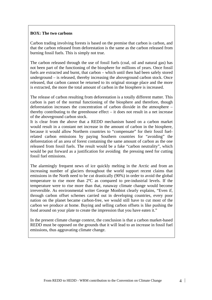#### **BOX: The two carbons**

Carbon trading involving forests is based on the premise that carbon is carbon, and that the carbon released from deforestation is the same as the carbon released from burning fossil fuels. This is simply not true.

The carbon released through the use of fossil fuels (coal, oil and natural gas) has not been part of the functioning of the biosphere for millions of years. Once fossil fuels are extracted and burnt, that carbon – which until then had been safely stored underground – is released, thereby increasing the aboveground carbon stock. Once released, that carbon cannot be returned to its original storage place and the more is extracted, the more the total amount of carbon in the biosphere is increased.

The release of carbon resulting from deforestation is a totally different matter. This carbon is part of the normal functioning of the biosphere and therefore, though deforestation increases the concentration of carbon dioxide in the atmosphere – thereby contributing to the greenhouse effect – it does not result in a net increase of the aboveground carbon stock.

It is clear from the above that a REDD mechanism based on a carbon market would result in a constant net increase in the amount of carbon in the biosphere, because it would allow Northern countries to "compensate" for their fossil fuelrelated carbon emissions by paying Southern countries for "avoiding" the deforestation of an area of forest containing the same amount of carbon as the one released from fossil fuels. The result would be a fake "carbon neutrality", which would be put forward as a justification for avoiding the pressing need for cutting fossil fuel emissions.

The alarmingly frequent news of ice quickly melting in the Arctic and from an increasing number of glaciers throughout the world support recent claims that emissions in the North need to be cut drastically (90%) in order to avoid the global temperature to rise more than 2ºC as compared to pre-industrial levels. If the temperature were to rise more than that, runaway climate change would become irreversible. As environmental writer George Monbiot clearly explains, "Even if, through carbon offset schemes carried out in developing countries, every poor nation on the planet became carbon-free, we would still have to cut most of the carbon we produce at home. Buying and selling carbon offsets is like pushing the food around on your plate to create the impression that you have eaten it."

In the present climate change context, the conclusion is that a carbon market-based REDD must be opposed on the grounds that it will lead to an increase in fossil fuel emissions, thus aggravating climate change.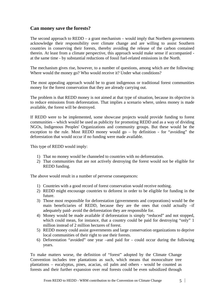#### **Can money save the forests?**

The second approach to  $REDD - a$  grant mechanism – would imply that Northern governments acknowledge their responsibility over climate change and are willing to assist Southern countries in conserving their forests, thereby avoiding the release of the carbon contained therein. At least from a climate perspective, this approach would make sense if accompanied at the same time - by substantial reductions of fossil fuel-related emissions in the North.

The mechanism gives rise, however, to a number of questions, among which are the following: Where would the money go? Who would receive it? Under what conditions?

The most appealing approach would be to grant indigenous or traditional forest communities money for the forest conservation that they are already carrying out.

The problem is that REDD money is not aimed at that type of situation, because its objective is to reduce emissions from deforestation. That implies a scenario where, unless money is made available, the forest will be destroyed.

If REDD were to be implemented, some showcase projects would provide funding to forest communities – which would be used as publicity for promoting REDD and as a way of dividing NGOs, Indigenous Peoples' Organizations and community groups. But these would be the exception to the rule. Most REDD money would go  $-$  by definition - for "avoiding" the deforestation that would occur if no funding were made available.

This type of REDD would imply:

- 1) That no money would be channeled to countries with no deforestation.
- 2) That communities that are not actively destroying the forest would not be eligible for REDD funding.

The above would result in a number of perverse consequences:

- 1) Countries with a good record of forest conservation would receive nothing.
- 2) REDD might encourage countries to deforest in order to be eligible for funding in the future.
- 3) Those most responsible for deforestation (governments and corporations) would be the main beneficiaries of REDD, because they are the ones that could actually –if adequately paid- avoid the deforestation they are responsible for.
- 4) Money would be made available if deforestation is simply "reduced" and not stopped, which could mean, for instance, that a country could be paid for destroying "only" 1 million instead of 2 million hectares of forest.
- 5) REDD money could assist governments and large conservation organizations to deprive local communities of their right to use their forests.
- 6) Deforestation "avoided" one year –and paid for could occur during the following years.

To make matters worse, the definition of "forest" adopted by the Climate Change Convention includes tree plantations as such, which means that monoculture tree plantations – eucalyptus, pines, acacias, oil palm and others - would be counted as forests and their further expansion over real forests could be even subsidized through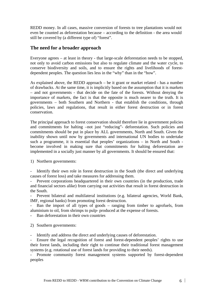REDD money. In all cases, massive conversion of forests to tree plantations would not even be counted as deforestation because – according to the definition - the area would still be covered by (a different type of) "forest".

#### **The need for a broader approach**

Everyone agrees – at least in theory - that large-scale deforestation needs to be stopped, not only to avoid carbon emissions but also to regulate climate and the water cycle, to conserve biodiversity and soils, and to ensure the rights and livelihoods of forestdependent peoples. The question lies less in the "why" than in the "how".

As explained above, the REDD approach – be it grant or market related - has a number of drawbacks. At the same time, it is implicitly based on the assumption that it is markets – and not governments - that decide on the fate of the forests. Without denying the importance of markets, the fact is that the opposite is much nearer to the truth. It is governments – both Southern and Northern - that establish the conditions, through policies, laws and regulations, that result in either forest destruction or in forest conservation.

The principal approach to forest conservation should therefore lie in government policies and commitments for halting –not just "reducing"- deforestation. Such policies and commitments should be put in place by ALL governments, North and South. Given the inability shown until now by governments and international UN bodies to undertake such a programme, it is essential that peoples' organizations – in North and South become involved in making sure that commitments for halting deforestation are implemented in a socially just manner by all governments. It should be ensured that:

1) Northern governments:

Identify their own role in forest destruction in the South (the direct and underlying causes of forest loss) and take measures for addressing them.

- Prevent corporations headquartered in their own countries (in the production, trade and financial sectors alike) from carrying out activities that result in forest destruction in the South.

Prevent bilateral and multilateral institutions (e.g. bilateral agencies, World Bank, IMF, regional banks) from promoting forest destruction.

Ban the import of all types of goods – ranging from timber to agrofuels, from aluminium to oil, from shrimps to pulp- produced at the expense of forests.

Ban deforestation in their own countries

2) Southern governments:

Identify and address the direct and underlying causes of deforestation.

- Ensure the legal recognition of forest and forest-dependent peoples' rights to use their forest lands, including their right to continue their traditional forest management systems (e.g. rotational use of forest lands for providing to their needs).

Promote community forest management systems supported by forest-dependent peoples